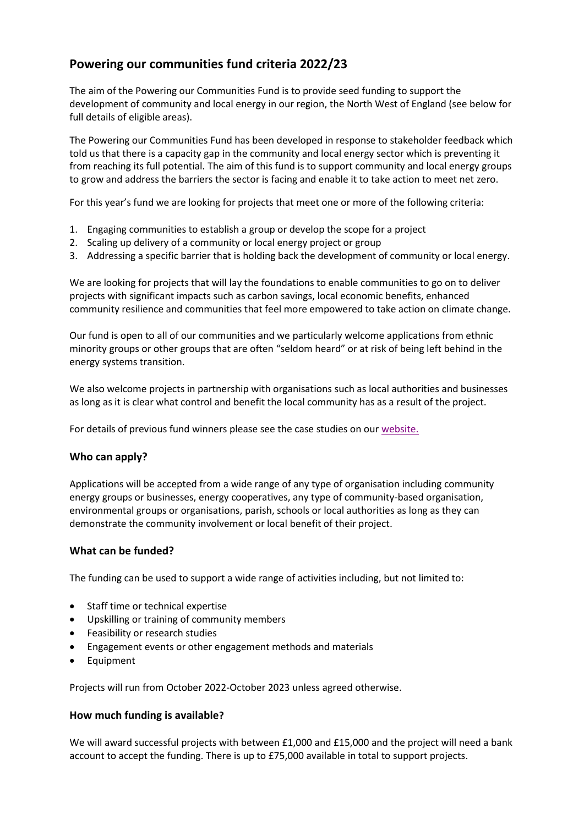# **Powering our communities fund criteria 2022/23**

The aim of the Powering our Communities Fund is to provide seed funding to support the development of community and local energy in our region, the North West of England (see below for full details of eligible areas).

The Powering our Communities Fund has been developed in response to stakeholder feedback which told us that there is a capacity gap in the community and local energy sector which is preventing it from reaching its full potential. The aim of this fund is to support community and local energy groups to grow and address the barriers the sector is facing and enable it to take action to meet net zero.

For this year's fund we are looking for projects that meet one or more of the following criteria:

- 1. Engaging communities to establish a group or develop the scope for a project
- 2. Scaling up delivery of a community or local energy project or group
- 3. Addressing a specific barrier that is holding back the development of community or local energy.

We are looking for projects that will lay the foundations to enable communities to go on to deliver projects with significant impacts such as carbon savings, local economic benefits, enhanced community resilience and communities that feel more empowered to take action on climate change.

Our fund is open to all of our communities and we particularly welcome applications from ethnic minority groups or other groups that are often "seldom heard" or at risk of being left behind in the energy systems transition.

We also welcome projects in partnership with organisations such as local authorities and businesses as long as it is clear what control and benefit the local community has as a result of the project.

For details of previous fund winners please see the case studies on our [website.](https://www.enwl.co.uk/zero-carbon/community-and-local-energy/what-is-community-and-local-energy/case-studies/)

## **Who can apply?**

Applications will be accepted from a wide range of any type of organisation including community energy groups or businesses, energy cooperatives, any type of community-based organisation, environmental groups or organisations, parish, schools or local authorities as long as they can demonstrate the community involvement or local benefit of their project.

## **What can be funded?**

The funding can be used to support a wide range of activities including, but not limited to:

- Staff time or technical expertise
- Upskilling or training of community members
- Feasibility or research studies
- Engagement events or other engagement methods and materials
- Equipment

Projects will run from October 2022-October 2023 unless agreed otherwise.

## **How much funding is available?**

We will award successful projects with between £1,000 and £15,000 and the project will need a bank account to accept the funding. There is up to £75,000 available in total to support projects.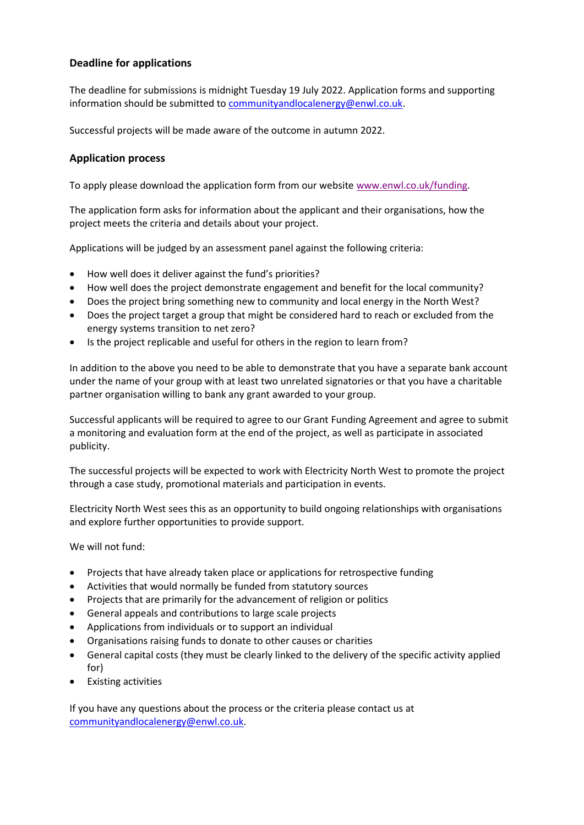## **Deadline for applications**

The deadline for submissions is midnight Tuesday 19 July 2022. Application forms and supporting information should be submitted to [communityandlocalenergy@enwl.co.uk.](mailto:communityandlocalenergy@enwl.co.uk)

Successful projects will be made aware of the outcome in autumn 2022.

## **Application process**

To apply please download the application form from our website [www.enwl.co.uk/funding.](http://www.enwl.co.uk/funding)

The application form asks for information about the applicant and their organisations, how the project meets the criteria and details about your project.

Applications will be judged by an assessment panel against the following criteria:

- How well does it deliver against the fund's priorities?
- How well does the project demonstrate engagement and benefit for the local community?
- Does the project bring something new to community and local energy in the North West?
- Does the project target a group that might be considered hard to reach or excluded from the energy systems transition to net zero?
- Is the project replicable and useful for others in the region to learn from?

In addition to the above you need to be able to demonstrate that you have a separate bank account under the name of your group with at least two unrelated signatories or that you have a charitable partner organisation willing to bank any grant awarded to your group.

Successful applicants will be required to agree to our Grant Funding Agreement and agree to submit a monitoring and evaluation form at the end of the project, as well as participate in associated publicity.

The successful projects will be expected to work with Electricity North West to promote the project through a case study, promotional materials and participation in events.

Electricity North West sees this as an opportunity to build ongoing relationships with organisations and explore further opportunities to provide support.

We will not fund:

- Projects that have already taken place or applications for retrospective funding
- Activities that would normally be funded from statutory sources
- Projects that are primarily for the advancement of religion or politics
- General appeals and contributions to large scale projects
- Applications from individuals or to support an individual
- Organisations raising funds to donate to other causes or charities
- General capital costs (they must be clearly linked to the delivery of the specific activity applied for)
- Existing activities

If you have any questions about the process or the criteria please contact us at [communityandlocalenergy@enwl.co.uk.](mailto:communityandlocalenergy@enwl.co.uk)